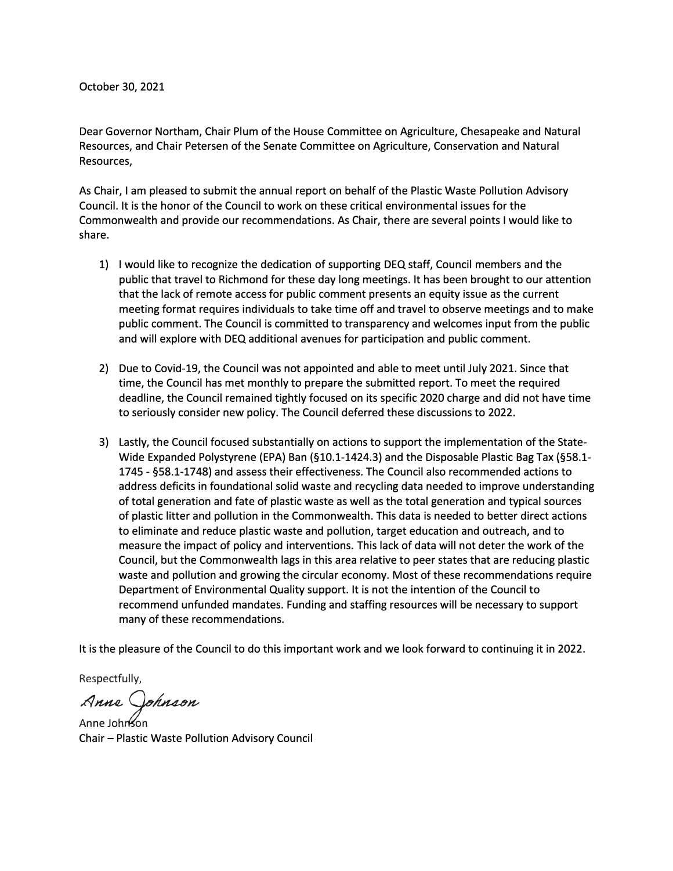Dear Governor Northam, Chair Plum of the House Committee on Agriculture, Chesapeake and Natural Resources, and Chair Petersen of the Senate Committee on Agriculture, Conservation and Natural Resources,

As Chair, I am pleased to submit the annual report on behalf of the Plastic Waste Pollution Advisory Council. It is the honor of the Council to work on these critical environmental issues for the Commonwealth and provide our recommendations. As Chair, there are several points I would like to share.

- 1) I would like to recognize the dedication of supporting DEQ staff, Council members and the public that travel to Richmond for these day long meetings. It has been brought to our attention that the lack of remote access for public comment presents an equity issue as the current meeting format requires individuals to take time off and travel to observe meetings and to make public comment. The Council is committed to transparency and welcomes input from the public and will explore with DEQ additional avenues for participation and public comment.
- 2) Due to Covid-19, the Council was not appointed and able to meet until July 2021. Since that time, the Council has met monthly to prepare the submitted report. To meet the required deadline, the Council remained tightly focused on its specific 2020 charge and did not have time to seriously consider new policy. The Council deferred these discussions to 2022.
- 3) Lastly, the Council focused substantially on actions to support the implementation of the State-Wide Expanded Polystyrene (EPA) Ban (§10.1-1424.3) and the Disposable Plastic Bag Tax {§58.1- 1745 - §58.1-1748) and assess their effectiveness. The Council also recommended actions to address deficits in foundational solid waste and recycling data needed to improve understanding of total generation and fate of plastic waste as well as the total generation and typical sources of plastic litter and pollution in the Commonwealth. This data is needed to better direct actions to eliminate and reduce plastic waste and pollution, target education and outreach, and to measure the impact of policy and interventions. This lack of data will not deter the work of the Council, but the Commonwealth lags in this area relative to peer states that are reducing plastic waste and pollution and growing the circular economy. Most of these recommendations require Department of Environmental Quality support. It is not the intention of the Council to recommend unfunded mandates. Funding and staffing resources will be necessary to support many of these recommendations.

It is the pleasure of the Council to do this important work and we look forward to continuing it in 2022.

Respectfully,

*Anne Johnson*<br>Anne Johnson

Chair - Plastic Waste Pollution Advisory Council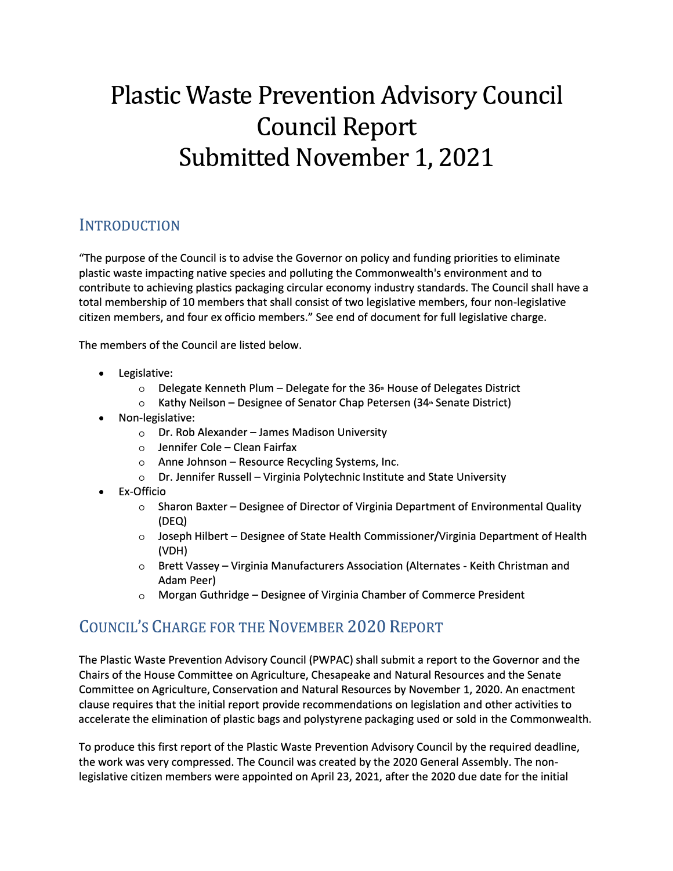# **Plastic Waste Prevention Advisory Council Council Report Submitted November 1, 2021**

# **INTRODUCTION**

"The purpose of the Council is to advise the Governor on policy and funding priorities to eliminate plastic waste impacting native species and polluting the Commonwealth's environment and to contribute to achieving plastics packaging circular economy industry standards. The Council shall have a total membership of 10 members that shall consist of two legislative members, four non-legislative citizen members, and four ex officio members." See end of document for full legislative charge.

The members of the Council are listed below.

- Legislative:
	- $\circ$  Delegate Kenneth Plum Delegate for the 36<sup> $\scriptscriptstyle\rm\bullet$ </sup> House of Delegates District
	- o Kathy Neilson Designee of Senator Chap Petersen (34<sup>th</sup> Senate District)
- Non-legislative:
	- $\circ$  Dr. Rob Alexander James Madison University
	- $\circ$  Jennifer Cole Clean Fairfax
	- $\circ$  Anne Johnson Resource Recycling Systems, Inc.
	- o Dr. Jennifer Russell Virginia Polytechnic Institute and State University
- Ex-Officio
	- $\circ$  Sharon Baxter Designee of Director of Virginia Department of Environmental Quality (DEQ)
	- $\circ$  Joseph Hilbert Designee of State Health Commissioner/Virginia Department of Health (VDH)
	- o Brett Vassey-Virginia Manufacturers Association (Alternates Keith Christman and Adam Peer)
	- $\circ$  Morgan Guthridge Designee of Virginia Chamber of Commerce President

# COUNCIL'S CHARGE FOR THE NOVEMBER 2020 REPORT

The Plastic Waste Prevention Advisory Council (PWPAC) shall submit a report to the Governor and the Chairs of the House Committee on Agriculture, Chesapeake and Natural Resources and the Senate Committee on Agriculture, Conservation and Natural Resources by November 1, 2020. An enactment clause requires that the initial report provide recommendations on legislation and other activities to accelerate the elimination of plastic bags and polystyrene packaging used or sold in the Commonwealth.

To produce this first report of the Plastic Waste Prevention Advisory Council by the required deadline, the work was very compressed. The Council was created by the 2020 General Assembly. The nonlegislative citizen members were appointed on April 23, 2021, after the 2020 due date for the initial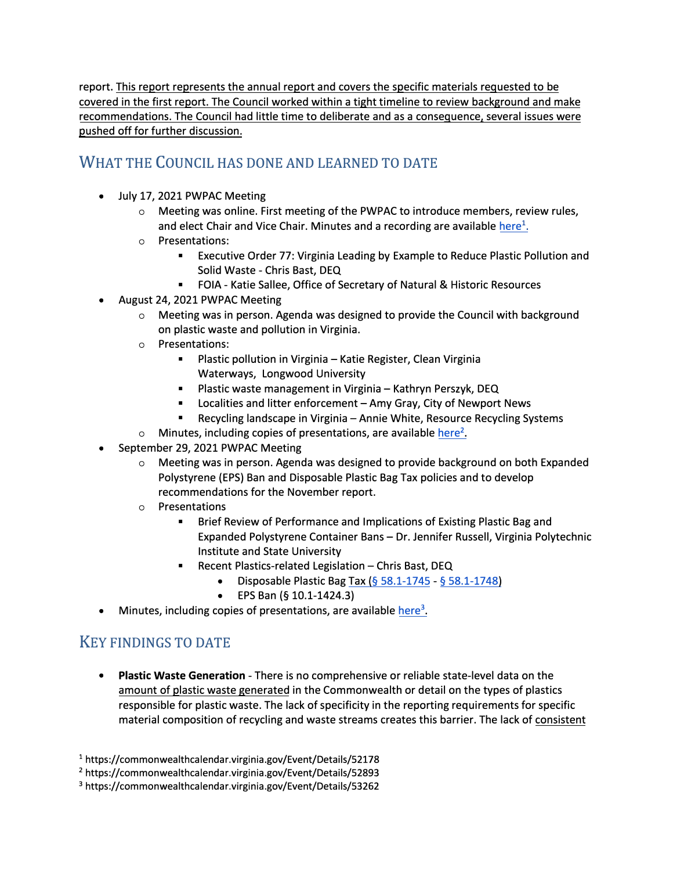report. This report represents the annual report and covers the specific materials requested to be covered in the first report. The Council worked within a tight timeline to review background and make recommendations. The Council had little time to deliberate and as a consequence, several issues were pushed off for further discussion.

# WHAT THE COUNCIL HAS DONE AND LEARNED TO DATE

- July 17, 2021 PWPAC Meeting
	- $\circ$  Meeting was online. First meeting of the PWPAC to introduce members, review rules, and elect Chair and Vice Chair. Minutes and a recording are available here<sup>1</sup>.
	- o Presentations:
		- Executive Order 77: Virginia Leading by Example to Reduce Plastic Pollution and Solid Waste - Chris Bast, DEQ
		- FOIA Katie Sallee, Office of Secretary of Natural & Historic Resources
- August 24, 2021 PWPAC Meeting
	- o Meeting was in person. Agenda was designed to provide the Council with background on plastic waste and pollution in Virginia.
	- o Presentations:
		- Plastic pollution in Virginia Katie Register, Clean Virginia Waterways, Longwood University
		- Plastic waste management in Virginia Kathryn Perszyk, DEQ
		- **•** Localities and litter enforcement  $-$  Amy Gray, City of Newport News
		- Recycling landscape in Virginia Annie White, Resource Recycling Systems
	- o Minutes, including copies of presentations, are available here**<sup>2</sup>**
- September 29, 2021 PWPAC Meeting
	- o Meeting was in person. Agenda was designed to provide background on both Expanded Polystyrene (EPS) Ban and Disposable Plastic Bag Tax policies and to develop recommendations for the November report.
	- o Presentations
		- Brief Review of Performance and Implications of Existing Plastic Bag and Expanded Polystyrene Container Bans - Dr. Jennifer Russell, Virginia Polytechnic Institute and State University
		- Recent Plastics-related Legislation Chris Bast, DEQ
			- Disposable Plastic Bag Tax(§ 58.1-1745 § 58.1-1748)
			- EPS Ban (§ 10.1-1424.3)
- **•** Minutes, including copies of presentations, are available here<sup>3</sup>.

# KEY FINDINGS TO DATE

• **Plastic Waste Generation** - There is no comprehensive or reliable state-level data on the amount of plastic waste generated in the Commonwealth or detail on the types of plastics responsible for plastic waste. The lack of specificity in the reporting requirements for specific material composition of recycling and waste streams creates this barrier. The lack of consistent

<sup>&</sup>lt;sup>1</sup> https://commonwealthcalendar.virginia.gov/Event/Details/52178

<sup>&</sup>lt;sup>2</sup> https://commonwealthcalendar.virginia.gov/Event/Details/52893

<sup>&</sup>lt;sup>3</sup> https://commonwealthcalendar.virginia.gov/Event/Details/53262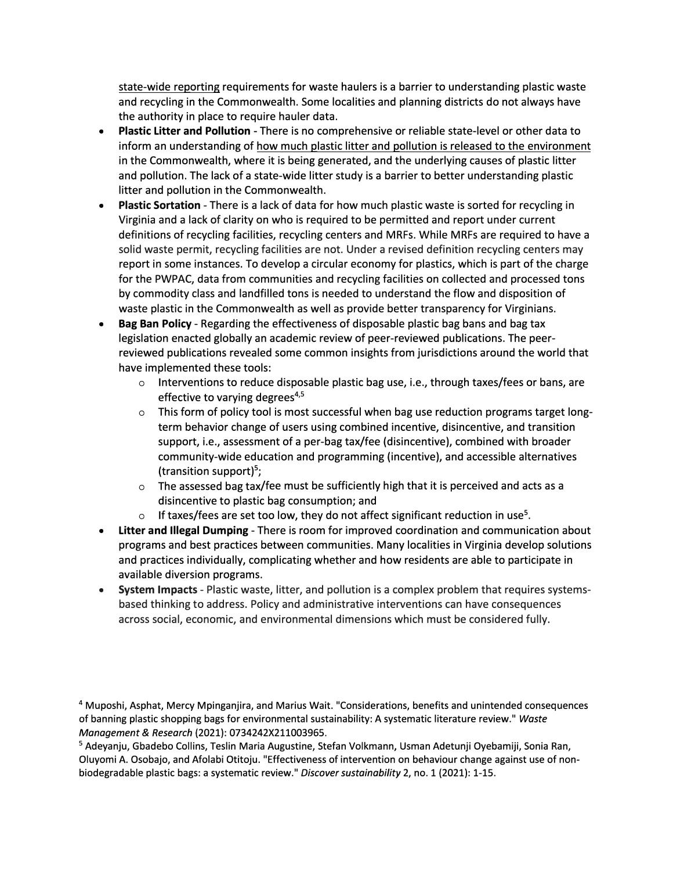state-wide reporting requirements for waste haulers is a barrier to understanding plastic waste and recycling in the Commonwealth. Some localities and planning districts do not always have the authority in place to require hauler data.

- **Plastic Litter and Pollution**  There is no comprehensive or reliable state-level or other data to inform an understanding of how much plastic litter and pollution is released to the environment in the Commonwealth, where it is being generated, and the underlying causes of plastic litter and pollution. The lack of a state-wide litter study is a barrier to better understanding plastic litter and pollution in the Commonwealth.
- **Plastic Sortation**  There is a lack of data for how much plastic waste is sorted for recycling in Virginia and a lack of clarity on who is required to be permitted and report under current definitions of recycling facilities, recycling centers and MRFs. While MRFs are required to have a solid waste permit, recycling facilities are not. Under a revised definition recycling centers may report in some instances. To develop a circular economy for plastics, which is part of the charge for the PWPAC, data from communities and recycling facilities on collected and processed tons by commodity class and landfilled tons is needed to understand the flow and disposition of waste plastic in the Commonwealth as well as provide better transparency for Virginians.
- **Bag Ban Policy**  Regarding the effectiveness of disposable plastic bag bans and bag tax legislation enacted globally an academic review of peer-reviewed publications. The peerreviewed publications revealed some common insights from jurisdictions around the world that have implemented these tools:
	- $\circ$  Interventions to reduce disposable plastic bag use, i.e., through taxes/fees or bans, are effective to varying degrees<sup>4,5</sup>
	- o This form of policy tool is most successful when bag use reduction programs target longterm behavior change of users using combined incentive, disincentive, and transition support, i.e., assessment of a per-bag tax/fee (disincentive), combined with broader community-wide education and programming (incentive), and accessible alternatives (transition support)**<sup>5</sup> ;**
	- $\circ$  The assessed bag tax/fee must be sufficiently high that it is perceived and acts as a disincentive to plastic bag consumption; and
	- $\circ$  If taxes/fees are set too low, they do not affect significant reduction in use<sup>5</sup>.
- **Litter and Illegal Dumping**  There is room for improved coordination and communication about programs and best practices between communities. Many localities in Virginia develop solutions and practices individually, complicating whether and how residents are able to participate in available diversion programs.
- **System Impacts**  Plastic waste, litter, and pollution is a complex problem that requires systemsbased thinking to address. Policy and administrative interventions can have consequences across social, economic, and environmental dimensions which must be considered fully.

<sup>4</sup> Muposhi, Asphat, Mercy Mpinganjira, and Marius Wait. "Considerations, benefits and unintended consequences of banning plastic shopping bags for environmental sustainability: A systematic literature review." *Waste Management* & *Research* {2021): 0734242X211003965.

<sup>5</sup> Adeyanju, Gbadebo Collins, Teslin Maria Augustine, Stefan Volkmann, Usman Adetunji Oyebamiji, Sonia Ran, Oluyomi A. Osobajo, and Afolabi Otitoju. "Effectiveness of intervention on behaviour change against use of nonbiodegradable plastic bags: a systematic review." *Discover sustainability* 2, no. 1 {2021): 1-15.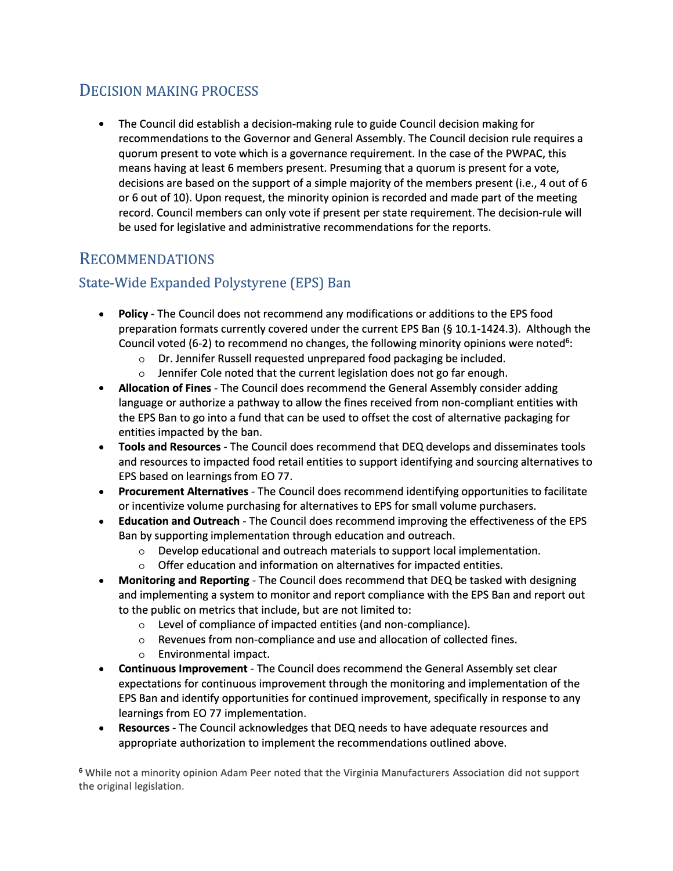# DECISION MAKING PROCESS

• The Council did establish a decision-making rule to guide Council decision making for recommendations to the Governor and General Assembly. The Council decision rule requires a quorum present to vote which is a governance requirement. In the case of the PWPAC, this means having at least 6 members present. Presuming that a quorum is present for a vote, decisions are based on the support of a simple majority of the members present (i.e., 4 out of 6 or 6 out of 10). Upon request, the minority opinion is recorded and made part of the meeting record. Council members can only vote if present per state requirement. The decision-rule will be used for legislative and administrative recommendations for the reports.

# RECOMMENDATIONS

# State-Wide Expanded Polystyrene (EPS) Ban

- **Policy**  The Council does not recommend any modifications or additions to the EPS food preparation formats currently covered under the current EPS Ban (§ 10.1-1424.3). Although the Council voted (6-2) to recommend no changes, the following minority opinions were noted<sup>6</sup>:
	- o Dr. Jennifer Russell requested unprepared food packaging be included.
	- o Jennifer Cole noted that the current legislation does not go far enough.
- **Allocation of Fines**  The Council does recommend the General Assembly consider adding language or authorize a pathway to allow the fines received from non-compliant entities with the EPS Ban to go into a fund that can be used to offset the cost of alternative packaging for entities impacted by the ban.
- **Tools and Resources**  The Council does recommend that DEQ develops and disseminates tools and resources to impacted food retail entities to support identifying and sourcing alternatives to EPS based on learnings from EO 77.
- **Procurement Alternatives**  The Council does recommend identifying opportunities to facilitate or incentivize volume purchasing for alternatives to EPS for small volume purchasers.
- **Education and Outreach**  The Council does recommend improving the effectiveness of the EPS Ban by supporting implementation through education and outreach.
	- o Develop educational and outreach materials to support local implementation.
	- $\circ$  Offer education and information on alternatives for impacted entities.
- **Monitoring and Reporting**  The Council does recommend that DEQ be tasked with designing and implementing a system to monitor and report compliance with the EPS Ban and report out to the public on metrics that include, but are not limited to:
	- o Level of compliance of impacted entities (and non-compliance).
	- o Revenues from non-compliance and use and allocation of collected fines.
	- o Environmental impact.
- **Continuous Improvement**  The Council does recommend the General Assembly set clear expectations for continuous improvement through the monitoring and implementation of the EPS Ban and identify opportunities for continued improvement, specifically in response to any learnings from EO 77 implementation.
- **Resources**  The Council acknowledges that DEQ needs to have adequate resources and appropriate authorization to implement the recommendations outlined above.

**<sup>6</sup>**While not a minority opinion Adam Peer noted that the Virginia Manufacturers Association did not support the original legislation.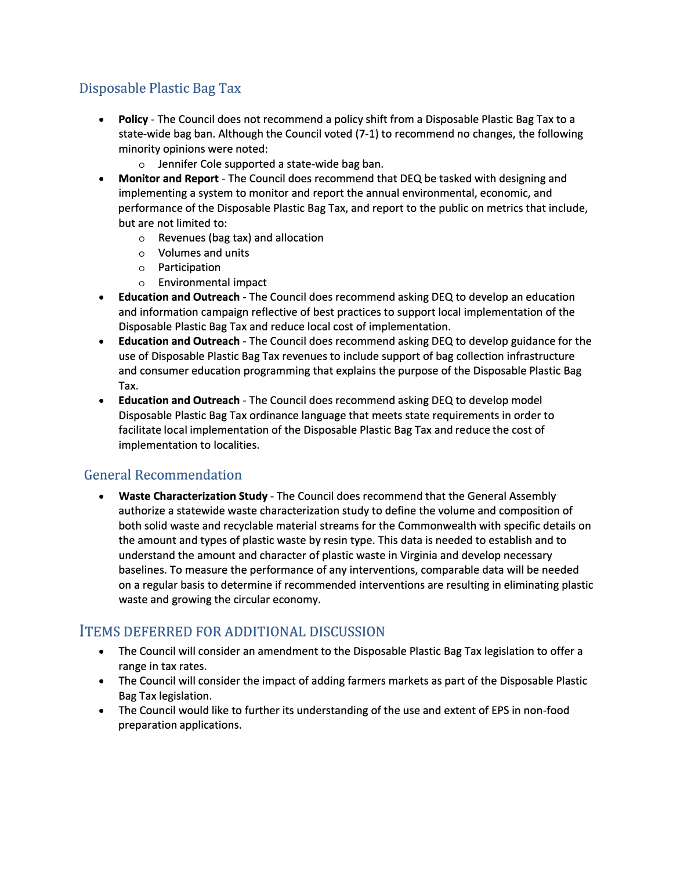# Disposable Plastic Bag Tax

- **Policy**  The Council does not recommend a policy shift from a Disposable Plastic Bag Tax to a state-wide bag ban. Although the Council voted (7-1) to recommend no changes, the following minority opinions were noted:
	- o Jennifer Cole supported a state-wide bag ban.
- **Monitor and Report**  The Council does recommend that DEQ be tasked with designing and implementing a system to monitor and report the annual environmental, economic, and performance of the Disposable Plastic Bag Tax, and report to the public on metrics that include, but are not limited to:
	- o Revenues (bag tax) and allocation
	- o Volumes and units
	- o Participation
	- o Environmental impact
- **Education and Outreach**  The Council does recommend asking DEQ to develop an education and information campaign reflective of best practices to support local implementation of the Disposable Plastic Bag Tax and reduce local cost of implementation.
- **Education and Outreach**  The Council does recommend asking DEQ to develop guidance for the use of Disposable Plastic Bag Tax revenues to include support of bag collection infrastructure and consumer education programming that explains the purpose of the Disposable Plastic Bag Tax.
- **Education and Outreach**  The Council does recommend asking DEQ to develop model Disposable Plastic Bag Tax ordinance language that meets state requirements in order to facilitate local implementation of the Disposable Plastic Bag Tax and reduce the cost of implementation to localities.

## General Recommendation

• **Waste Characterization Study** - The Council does recommend that the General Assembly authorize a statewide waste characterization study to define the volume and composition of both solid waste and recyclable material streams for the Commonwealth with specific details on the amount and types of plastic waste by resin type. This data is needed to establish and to understand the amount and character of plastic waste in Virginia and develop necessary baselines. To measure the performance of any interventions, comparable data will be needed on a regular basis to determine if recommended interventions are resulting in eliminating plastic waste and growing the circular economy.

## ITEMS DEFERRED FOR ADDITIONAL DISCUSSION

- The Council will consider an amendment to the Disposable Plastic Bag Tax legislation to offer a range in tax rates.
- The Council will consider the impact of adding farmers markets as part of the Disposable Plastic Bag Tax legislation.
- The Council would like to further its understanding of the use and extent of EPS in non-food preparation applications.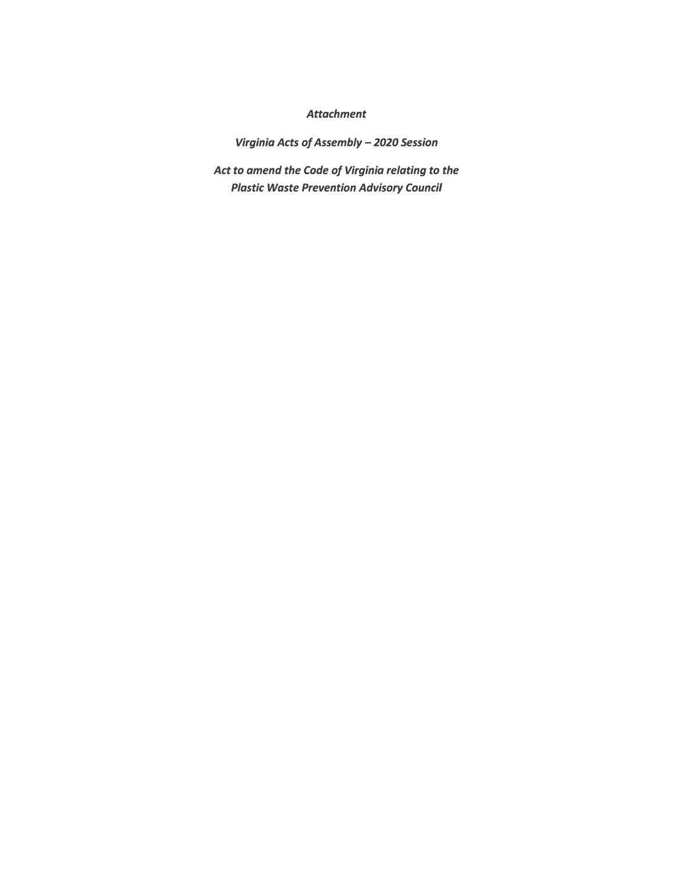## *Attachment*

*Virginia Acts of Assembly* - *2020 Session*

*Act to amend the Code of Virginia relating to the Plastic Waste Prevention Advisory Council*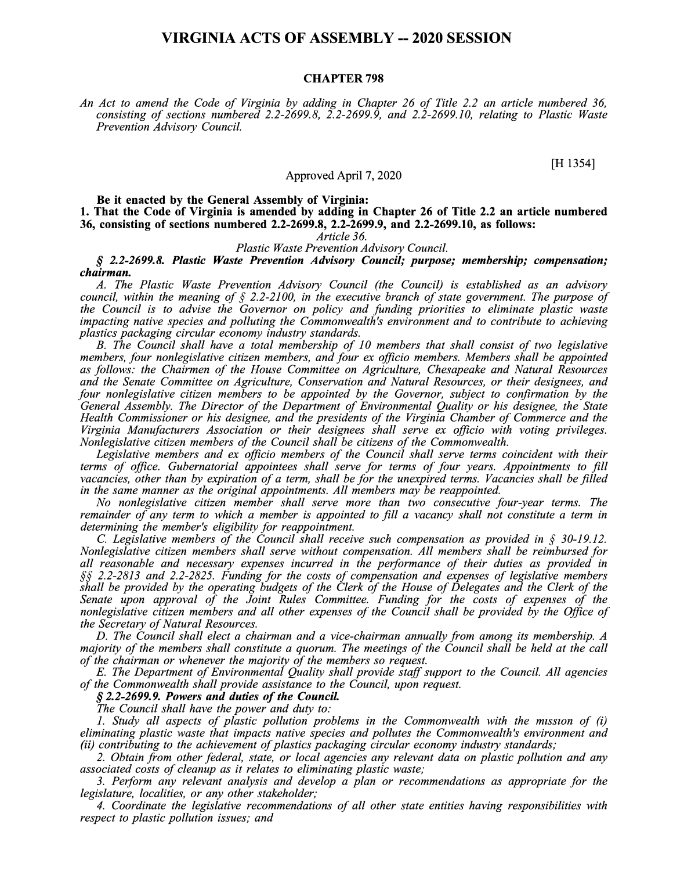## **VIRGINIA ACTS OF ASSEMBLY -- 2020 SESSION**

### **CHAPTER 798**

*An Act to amend the Code of Virginia by adding in Chapter 26 of Title 2.2 an article numbered 36, consisting of sections numbered 2.2-2699.8, 2.2-2699.9, and 2.2-2699.10, relating to Plastic Waste Prevention Advisory Council.* 

[H 1354]

#### Approved April 7, 2020

**Be it enacted by the General Assembly of Virginia: 1. That the Code of Virginia is amended by adding in Chapter 26 of Title 2.2 an article numbered 36, consisting of sections numbered 2.2-2699.8, 2.2-2699.9, and 2.2-2699.10, as follows:**

*Article 36.* 

*Plastic Waste Prevention Advisory Council.* 

*§ 2.2-2699.8. Plastic Waste Prevention Advisory Council; purpose; membership; compensation; chairman.* 

*A. The Plastic Waste Prevention Advisory Council (the Council) is established as an advisory council, within the meaning of§ 2.2-2100, in the executive branch of state government. The purpose of the Council is to advise the Governor on policy and funding priorities to eliminate plastic waste impacting native species and polluting the Commonwealth's environment and to contribute to achieving plastics packaging circular economy industry standards.* 

*B. The Council shall have a total membership of 10 members that shall consist of two legislative members, four nonlegislative citizen members, and four ex officio members. Members shall be appointed as follows: the Chairmen of the House Committee on Agriculture, Chesapeake and Natural Resources and the Senate Committee on Agriculture, Conservation and Natural Resources, or their designees, and four nonlegislative citizen members to be appointed by the Governor, subject to confirmation by the General Assembly. The Director of the Department of Environmental Quality or his designee, the State Health Commissioner or his designee, and the presidents of the Virginia Chamber of Commerce and the Virginia Manufacturers Association or their designees shall serve ex officio with voting privileges. Nonlegislative citizen members of the Council shall be citizens of the Commonwealth.* 

*Legislative members and ex officio members of the Council shall serve terms coincident with their terms of office. Gubernatorial appointees shall serve for terms of four years. Appointments to fill vacancies, other than by expiration of a term, shall be for the unexpired terms. Vacancies shall be filled in the same manner as the original appointments. All members may be reappointed.* 

*No nonlegislative citizen member shall serve more than two consecutive four-year terms. The remainder of any term to which a member is appointed to fill a vacancy shall not constitute a term in determining the member's eligibility for reappointment.* 

C. *Legislative members of the Council shall receive such compensation as provided in § 30-19.12. Nonlegislative citizen members shall serve without compensation. All members shall be reimbursed for all reasonable and necessary expenses incurred in the performance of their duties as provided in §§ 2.2-2813 and 2.2-2825. Funding for the costs of compensation and expenses of legislative members shall be provided by the operating budgets of the Clerk of the House of Delegates and the Clerk of the Senate upon approval of the Joint Rules Committee. Funding for the costs of expenses of the nonlegislative citizen members and all other expenses of the Council shall be provided by the Office of the Secretary of Natural Resources.* 

*D. The Council shall elect a chairman and a vice-chairman annually from among its membership. A majority of the members shall constitute a quorum. The meetings of the Council shall be held at the call of the chairman or whenever the majority of the members so request.* 

*E. The Department of Environmental Quality shall provide staff support to the Council. All agencies of the Commonwealth shall provide assistance to the Council, upon request.* 

#### *§ 2.2-2699.9. Powers and duties of the Council.*

*The Council shall have the power and duty to:*

*1. Study all aspects of plastic pollution problems in the Commonwealth with the mission of (i) eliminating plastic waste that impacts native species and pollutes the Commonwealth's environment and (ii) contributing to the achievement of plastics packaging circular economy industry standards;*

*2. Obtain from other federal, state, or local agencies any relevant data on plastic pollution and any associated costs of cleanup as it relates to eliminating plastic waste;* 

*3. Perform any relevant analysis and develop a plan or recommendations as appropriate for the legislature, localities, or any other stakeholder;* 

*4. Coordinate the legislative recommendations of all other state entities having responsibilities with respect to plastic pollution issues; and*